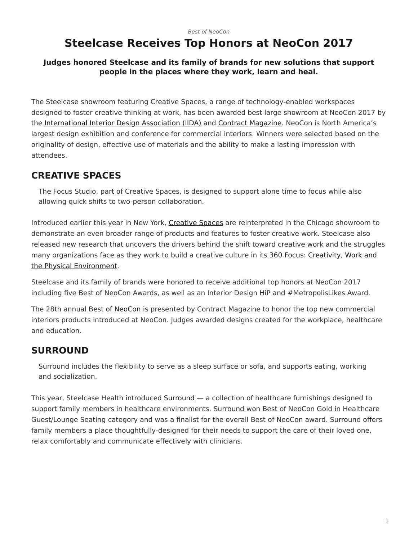# <span id="page-0-0"></span>**Steelcase Receives Top Honors at NeoCon 2017**

#### **Judges honored Steelcase and its family of brands for new solutions that support people in the places where they work, learn and heal.**

The Steelcase showroom featuring Creative Spaces, a range of technology-enabled workspaces designed to foster creative thinking at work, has been awarded best large showroom at NeoCon 2017 by the [International Interior Design Association \(IIDA\)](https://www.facebook.com/IIDAHQ/?fref=mentions) and [Contract Magazine.](http://www.contractdesign.com/index.shtml) NeoCon is North America's largest design exhibition and conference for commercial interiors. Winners were selected based on the originality of design, effective use of materials and the ability to make a lasting impression with attendees.

### **CREATIVE SPACES**

The Focus Studio, part of Creative Spaces, is designed to support alone time to focus while also allowing quick shifts to two-person collaboration.

Introduced earlier this year in New York, [Creative Spaces](https://www.steelcase.com/microsoft-steelcase/creativity/?utm_source=blog) are reinterpreted in the Chicago showroom to demonstrate an even broader range of products and features to foster creative work. Steelcase also released new research that uncovers the drivers behind the shift toward creative work and the struggles many organizations face as they work to build a creative culture in its [360 Focus: Creativity, Work and](https://www.steelcase.com/360-focus-creativity/) [the Physical Environment.](https://www.steelcase.com/360-focus-creativity/)

Steelcase and its family of brands were honored to receive additional top honors at NeoCon 2017 including five Best of NeoCon Awards, as well as an Interior Design HiP and #MetropolisLikes Award.

The 28th annual [Best of NeoCon](http://www.contractdesign.com/news/competitions-awards/Contract-Names-2017-Best-of-NeoCon-Winners-40980.shtml) is presented by Contract Magazine to honor the top new commercial interiors products introduced at NeoCon. Judges awarded designs created for the workplace, healthcare and education.

### **SURROUND**

Surround includes the flexibility to serve as a sleep surface or sofa, and supports eating, working and socialization.

This year, Steelcase Health introduced [Surround](http://steelcasehealth.com/surround) — a collection of healthcare furnishings designed to support family members in healthcare environments. Surround won Best of NeoCon Gold in Healthcare Guest/Lounge Seating category and was a finalist for the overall Best of NeoCon award. Surround offers family members a place thoughtfully-designed for their needs to support the care of their loved one, relax comfortably and communicate effectively with clinicians.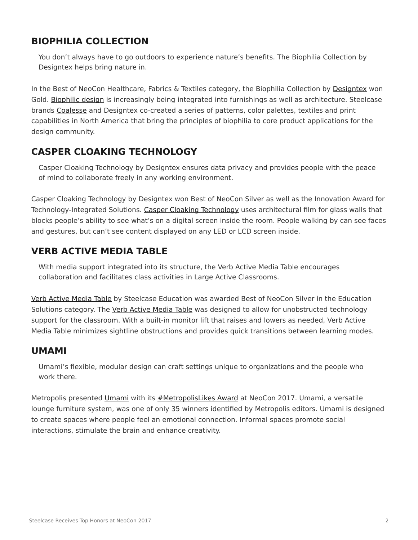## **BIOPHILIA COLLECTION**

You don't always have to go outdoors to experience nature's benefits. The Biophilia Collection by Designtex helps bring nature in.

In the Best of NeoCon Healthcare, Fabrics & Textiles category, the Biophilia Collection by [Designtex](http://www.designtex.com/) won Gold. [Biophilic design](https://www.steelcase.com/research/articles/topics/wellbeing/restoration-office/) is increasingly being integrated into furnishings as well as architecture. Steelcase brands [Coalesse](http://www.coalesse.com/) and Designtex co-created a series of patterns, color palettes, textiles and print capabilities in North America that bring the principles of biophilia to core product applications for the design community.

# **CASPER CLOAKING TECHNOLOGY**

Casper Cloaking Technology by Designtex ensures data privacy and provides people with the peace of mind to collaborate freely in any working environment.

Casper Cloaking Technology by Designtex won Best of NeoCon Silver as well as the Innovation Award for Technology-Integrated Solutions. [Casper Cloaking Technology](https://www.steelcase.com/blog/casper-cloaking-technology-privacy-transparency/) uses architectural film for glass walls that blocks people's ability to see what's on a digital screen inside the room. People walking by can see faces and gestures, but can't see content displayed on any LED or LCD screen inside.

### **VERB ACTIVE MEDIA TABLE**

With media support integrated into its structure, the Verb Active Media Table encourages collaboration and facilitates class activities in Large Active Classrooms.

[Verb Active Media Table](https://www.steelcase.com/research/articles/topics/education/verb-active-media-table-activates-large-classrooms/) by Steelcase Education was awarded Best of NeoCon Silver in the Education Solutions category. The [Verb Active Media Table](https://www.steelcase.com/research/articles/topics/education/verb-active-media-table-activates-large-classrooms/) was designed to allow for unobstructed technology support for the classroom. With a built-in monitor lift that raises and lowers as needed, Verb Active Media Table minimizes sightline obstructions and provides quick transitions between learning modes.

#### **UMAMI**

Umami's flexible, modular design can craft settings unique to organizations and the people who work there.

Metropolis presented [Umami](https://www.steelcase.com/products/umami-lounge-system/) with its [#MetropolisLikes Award](http://www.metropolismag.com/design/metropolislikes-neocon-winners-announced/) at NeoCon 2017. Umami, a versatile lounge furniture system, was one of only 35 winners identified by Metropolis editors. Umami is designed to create spaces where people feel an emotional connection. Informal spaces promote social interactions, stimulate the brain and enhance creativity.